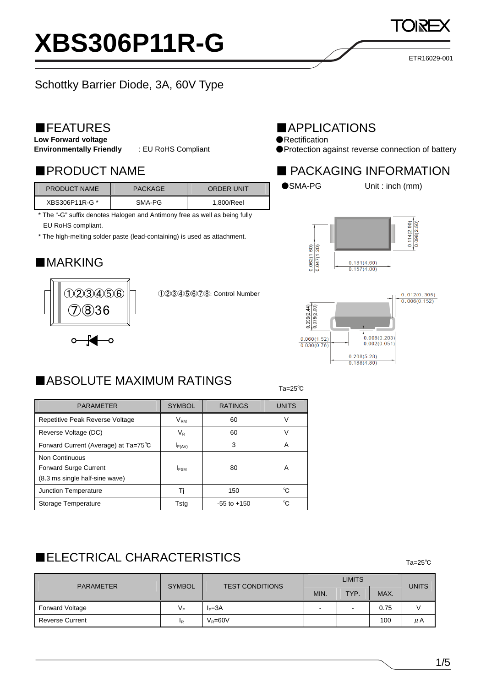# **XBS306P11R-G**

ETR16029-001

## Schottky Barrier Diode, 3A, 60V Type

### ■FEATURES

**Low Forward voltage** 

**Environmentally Friendly** : EU RoHS Compliant

| <b>PRODUCT NAME</b> | <b>PACKAGE</b> | <b>ORDER UNIT</b> |
|---------------------|----------------|-------------------|
| XBS306P11R-G *      | SMA-PG         | 1,800/Reel        |

\* The "-G" suffix denotes Halogen and Antimony free as well as being fully EU RoHS compliant.

\* The high-melting solder paste (lead-containing) is used as attachment.

## ■**MARKING**



①②③④⑤⑥⑦⑧: Control Number

### ■APPLICATIONS

●Rectification

●Protection against reverse connection of battery

#### ■PRODUCT NAME ■ PACKAGING INFORMATION



●SMA-PG Unit : inch (mm)





#### $T_a=25^\circ$ Ta=25 $^{\circ}$ C ■ABSOLUTE MAXIMUM RATINGS

| <b>PARAMETER</b>                     | <b>SYMBOL</b> | <b>RATINGS</b>  | <b>UNITS</b> |
|--------------------------------------|---------------|-----------------|--------------|
|                                      |               |                 |              |
| Repetitive Peak Reverse Voltage      | $V_{\rm RM}$  | 60              |              |
| Reverse Voltage (DC)                 | $V_{R}$       | 60              | V            |
| Forward Current (Average) at Ta=75°C | $I_{F(AV)}$   | 3               | А            |
| Non Continuous                       |               |                 |              |
| <b>Forward Surge Current</b>         | <b>IFSM</b>   | 80              | Α            |
| (8.3 ms single half-sine wave)       |               |                 |              |
| Junction Temperature                 | Ti            | 150             | °C           |
| Storage Temperature                  | Tsta          | $-55$ to $+150$ | °င           |

## Ta=25℃ ■ELECTRICAL CHARACTERISTICS

LIMITS PARAMETER | SYMBOL | TEST CONDITIONS  $MIN.$  TYP.  $MAX.$ UNITS Forward Voltage  $V_F$  |  $V_F$  |  $V_F$  |  $V_F$  |  $V_F$  |  $V_F$  |  $V_F$  |  $V_F$  |  $V_F$  |  $V_F$  |  $V_F$  |  $V_F$  |  $V_F$  |  $V_F$  |  $V_F$  |  $V_F$  |  $V_F$  |  $V_F$  |  $V_F$  |  $V_F$  |  $V_F$  |  $V_F$  |  $V_F$  |  $V_F$  |  $V_F$  |  $V_F$  |  $V_F$  |  $V_F$  |  $V_F$  |  $V$ Reverse Current  $I_R = \begin{vmatrix} V_R = 60V & & & \end{vmatrix}$  100  $\mu$ A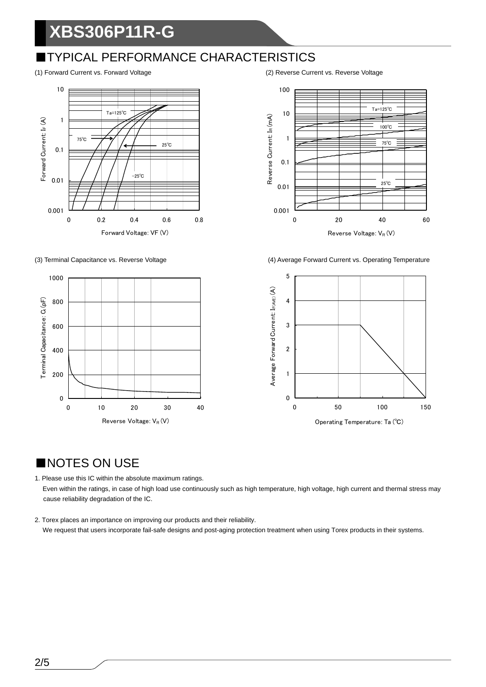## **XBS306P11R-G**

## ■TYPICAL PERFORMANCE CHARACTERISTICS









(3) Terminal Capacitance vs. Reverse Voltage (4) Average Forward Current vs. Operating Temperature



## ■NOTES ON USE

1. Please use this IC within the absolute maximum ratings. Even within the ratings, in case of high load use continuously such as high temperature, high voltage, high current and thermal stress may cause reliability degradation of the IC.

2. Torex places an importance on improving our products and their reliability. We request that users incorporate fail-safe designs and post-aging protection treatment when using Torex products in their systems.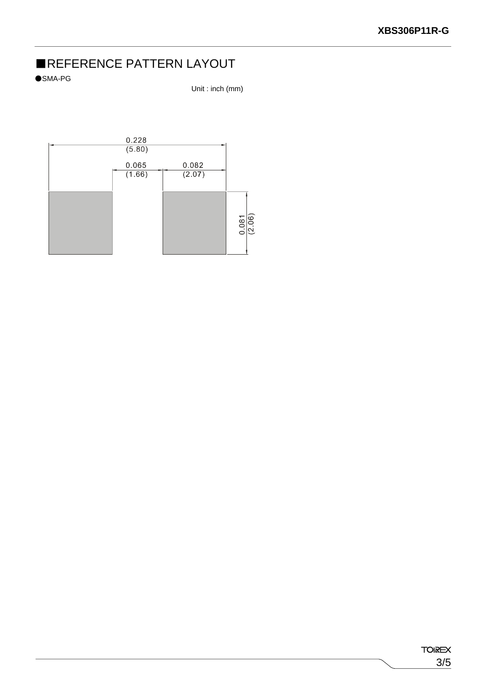## ■REFERENCE PATTERN LAYOUT

●SMA-PG

Unit : inch (mm)

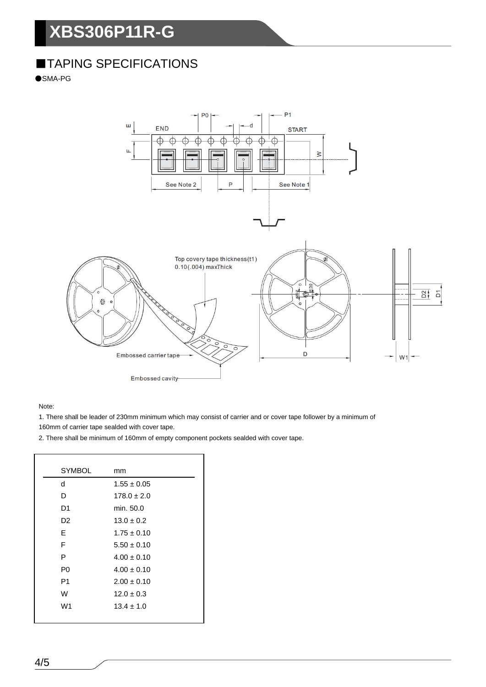## **XBS306P11R-G**

## ■TAPING SPECIFICATIONS

●SMA-PG



Note:

1. There shall be leader of 230mm minimum which may consist of carrier and or cover tape follower by a minimum of

160mm of carrier tape sealded with cover tape.

2. There shall be minimum of 160mm of empty component pockets sealded with cover tape.

| <b>SYMBOL</b>  | mm              |
|----------------|-----------------|
| d              | $1.55 \pm 0.05$ |
| D              | $178.0 \pm 2.0$ |
| D1             | min. 50.0       |
| D2             | $13.0 \pm 0.2$  |
| E              | $1.75 + 0.10$   |
| F              | $5.50 \pm 0.10$ |
| P              | $4.00 \pm 0.10$ |
| P0             | $4.00 \pm 0.10$ |
| P <sub>1</sub> | $2.00 \pm 0.10$ |
| W              | $12.0 \pm 0.3$  |
| W <sub>1</sub> | $13.4 \pm 1.0$  |
|                |                 |